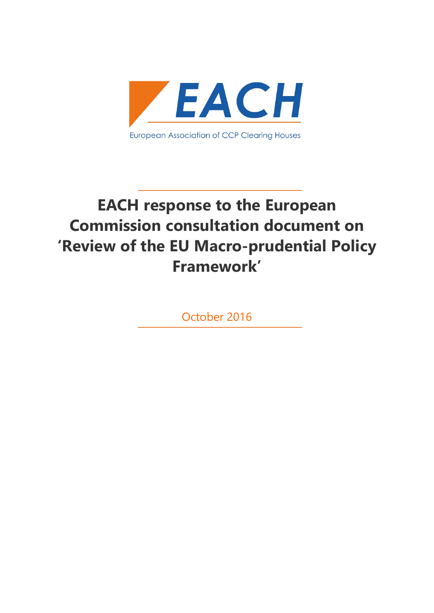

# **EACH response to the European Commission consultation document on 'Review of the EU Macro-prudential Policy Framework'**

October 2016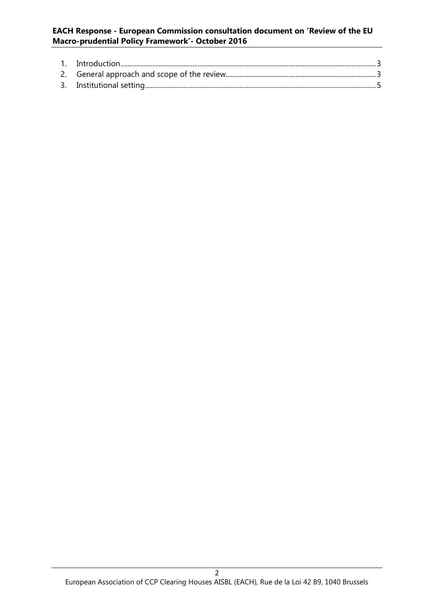#### **EACH Response - European Commission consultation document on 'Review of the EU Macro-prudential Policy Framework'- October 2016**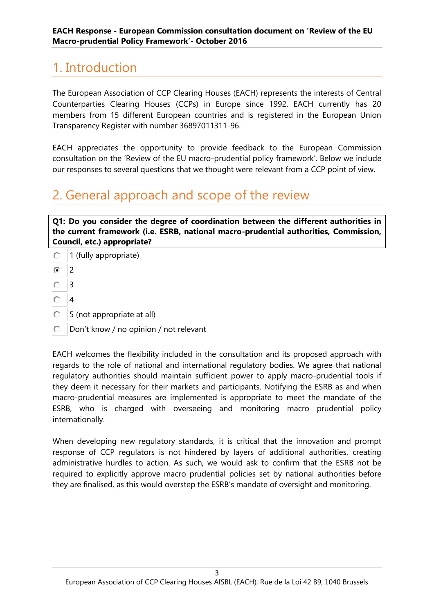## <span id="page-2-0"></span>1. Introduction

The European Association of CCP Clearing Houses (EACH) represents the interests of Central Counterparties Clearing Houses (CCPs) in Europe since 1992. EACH currently has 20 members from 15 different European countries and is registered in the European Union Transparency Register with number 36897011311-96.

EACH appreciates the opportunity to provide feedback to the European Commission consultation on the 'Review of the EU macro-prudential policy framework'. Below we include our responses to several questions that we thought were relevant from a CCP point of view.

### <span id="page-2-1"></span>2. General approach and scope of the review

**Q1: Do you consider the degree of coordination between the different authorities in the current framework (i.e. ESRB, national macro-prudential authorities, Commission, Council, etc.) appropriate?**

- $\bigcirc$  1 (fully appropriate)
- **হি** 2
- $\bigcirc$  3
- $\bigcirc$  4
- 5 (not appropriate at all)
- **D** Don't know / no opinion / not relevant

EACH welcomes the flexibility included in the consultation and its proposed approach with regards to the role of national and international regulatory bodies. We agree that national regulatory authorities should maintain sufficient power to apply macro-prudential tools if they deem it necessary for their markets and participants. Notifying the ESRB as and when macro-prudential measures are implemented is appropriate to meet the mandate of the ESRB, who is charged with overseeing and monitoring macro prudential policy internationally.

When developing new regulatory standards, it is critical that the innovation and prompt response of CCP regulators is not hindered by layers of additional authorities, creating administrative hurdles to action. As such, we would ask to confirm that the ESRB not be required to explicitly approve macro prudential policies set by national authorities before they are finalised, as this would overstep the ESRB's mandate of oversight and monitoring.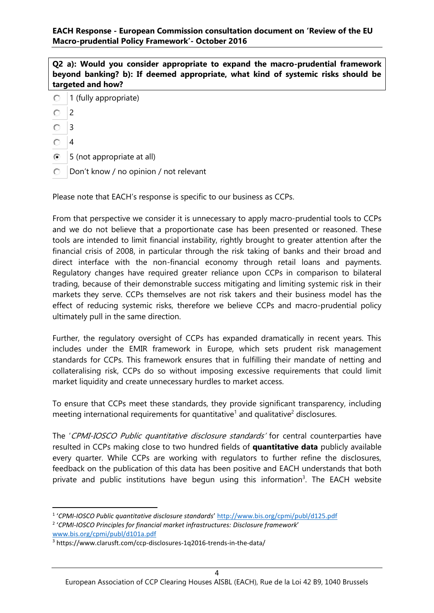**Q2 a): Would you consider appropriate to expand the macro-prudential framework beyond banking? b): If deemed appropriate, what kind of systemic risks should be targeted and how?**

- 1 (fully appropriate) О.
- 0. 2
- O. 3
- $\bigcirc$  4
- **6** 5 (not appropriate at all)
- D Don't know / no opinion / not relevant

Please note that EACH's response is specific to our business as CCPs.

From that perspective we consider it is unnecessary to apply macro-prudential tools to CCPs and we do not believe that a proportionate case has been presented or reasoned. These tools are intended to limit financial instability, rightly brought to greater attention after the financial crisis of 2008, in particular through the risk taking of banks and their broad and direct interface with the non-financial economy through retail loans and payments. Regulatory changes have required greater reliance upon CCPs in comparison to bilateral trading, because of their demonstrable success mitigating and limiting systemic risk in their markets they serve. CCPs themselves are not risk takers and their business model has the effect of reducing systemic risks, therefore we believe CCPs and macro-prudential policy ultimately pull in the same direction.

Further, the regulatory oversight of CCPs has expanded dramatically in recent years. This includes under the EMIR framework in Europe, which sets prudent risk management standards for CCPs. This framework ensures that in fulfilling their mandate of netting and collateralising risk, CCPs do so without imposing excessive requirements that could limit market liquidity and create unnecessary hurdles to market access.

To ensure that CCPs meet these standards, they provide significant transparency, including meeting international requirements for quantitative<sup>1</sup> and qualitative<sup>2</sup> disclosures.

The 'CPMI-IOSCO Public quantitative disclosure standards' for central counterparties have resulted in CCPs making close to two hundred fields of **quantitative data** publicly available every quarter. While CCPs are working with regulators to further refine the disclosures, feedback on the publication of this data has been positive and EACH understands that both private and public institutions have begun using this information<sup>3</sup>. The EACH website

**.** 

<sup>1</sup> '*CPMI-IOSCO Public quantitative disclosure standards*' <http://www.bis.org/cpmi/publ/d125.pdf> 2 '*CPMI-IOSCO Principles for financial market infrastructures: Disclosure framework*'

[www.bis.org/cpmi/publ/d101a.pdf](http://www.bis.org/cpmi/publ/d101a.pdf)

<sup>3</sup> https://www.clarusft.com/ccp-disclosures-1q2016-trends-in-the-data/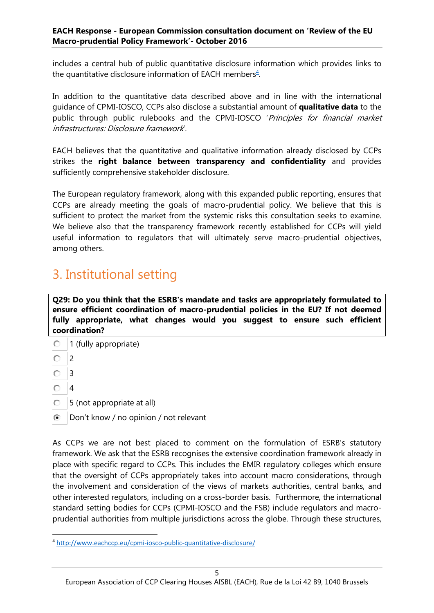includes a central hub of public quantitative disclosure information which provides links to the quantitative disclosure information of EACH members $4$ .

In addition to the quantitative data described above and in line with the international guidance of CPMI-IOSCO, CCPs also disclose a substantial amount of **qualitative data** to the public through public rulebooks and the CPMI-IOSCO 'Principles for financial market infrastructures: Disclosure framework'.

EACH believes that the quantitative and qualitative information already disclosed by CCPs strikes the **right balance between transparency and confidentiality** and provides sufficiently comprehensive stakeholder disclosure.

The European regulatory framework, along with this expanded public reporting, ensures that CCPs are already meeting the goals of macro-prudential policy. We believe that this is sufficient to protect the market from the systemic risks this consultation seeks to examine. We believe also that the transparency framework recently established for CCPs will yield useful information to regulators that will ultimately serve macro-prudential objectives, among others.

### <span id="page-4-0"></span>3. Institutional setting

**Q29: Do you think that the ESRB's mandate and tasks are appropriately formulated to ensure efficient coordination of macro-prudential policies in the EU? If not deemed fully appropriate, what changes would you suggest to ensure such efficient coordination?** 

- $\bigcirc$  1 (fully appropriate)
- O.  $\overline{2}$
- $O<sub>3</sub>$
- $\bigcirc$  4

 $\overline{a}$ 

- 5 (not appropriate at all)
- **Don't know / no opinion / not relevant**

As CCPs we are not best placed to comment on the formulation of ESRB's statutory framework. We ask that the ESRB recognises the extensive coordination framework already in place with specific regard to CCPs. This includes the EMIR regulatory colleges which ensure that the oversight of CCPs appropriately takes into account macro considerations, through the involvement and consideration of the views of markets authorities, central banks, and other interested regulators, including on a cross-border basis. Furthermore, the international standard setting bodies for CCPs (CPMI-IOSCO and the FSB) include regulators and macroprudential authorities from multiple jurisdictions across the globe. Through these structures,

<sup>4</sup> <http://www.eachccp.eu/cpmi-iosco-public-quantitative-disclosure/>